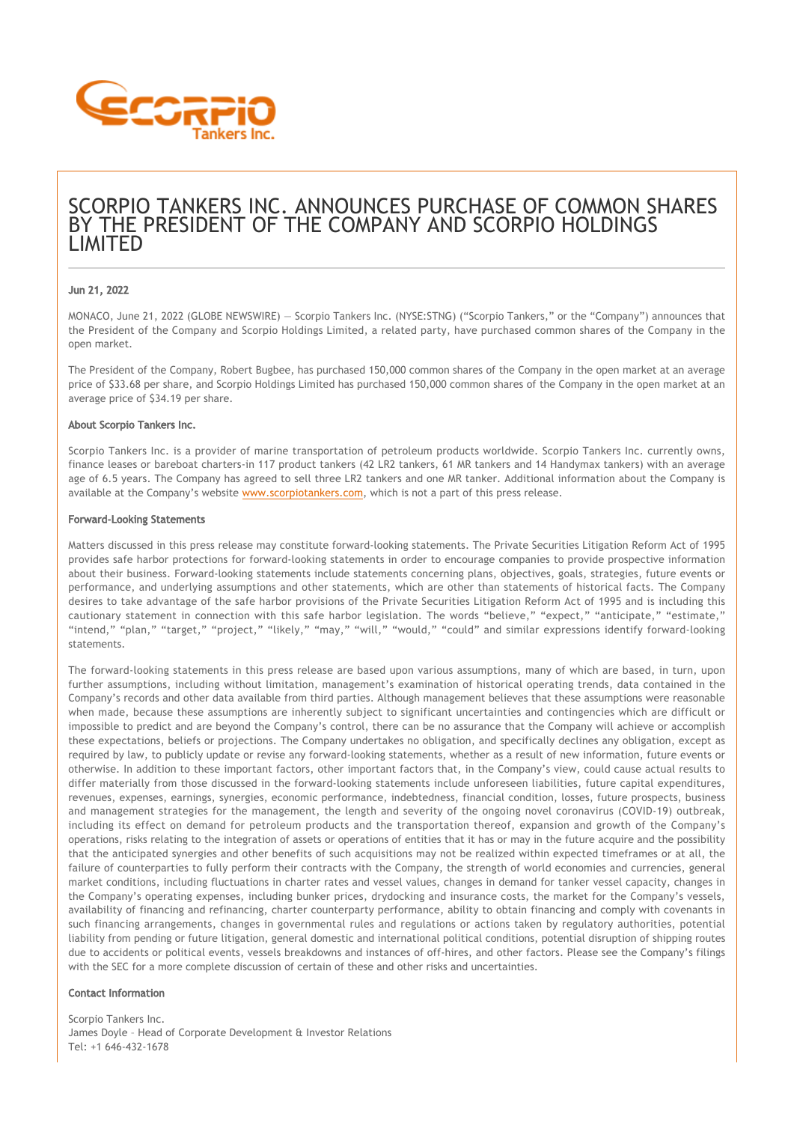

# SCORPIO TANKERS INC. ANNOUNCES PURCHASE OF COMMON SHARES BY THE PRESIDENT OF THE COMPANY AND SCORPIO HOLDINGS LIMITED

## Jun 21, 2022

MONACO, June 21, 2022 (GLOBE NEWSWIRE) — Scorpio Tankers Inc. (NYSE:STNG) ("Scorpio Tankers," or the "Company") announces that the President of the Company and Scorpio Holdings Limited, a related party, have purchased common shares of the Company in the open market.

The President of the Company, Robert Bugbee, has purchased 150,000 common shares of the Company in the open market at an average price of \$33.68 per share, and Scorpio Holdings Limited has purchased 150,000 common shares of the Company in the open market at an average price of \$34.19 per share.

#### About Scorpio Tankers Inc.

Scorpio Tankers Inc. is a provider of marine transportation of petroleum products worldwide. Scorpio Tankers Inc. currently owns, finance leases or bareboat charters-in 117 product tankers (42 LR2 tankers, 61 MR tankers and 14 Handymax tankers) with an average age of 6.5 years. The Company has agreed to sell three LR2 tankers and one MR tanker. Additional information about the Company is available at the Company's website [www.scorpiotankers.com](https://www.globenewswire.com/Tracker?data=wh6ktcYorRdcxOoGKpWJnyzg9IXdX7qVGKuXA2FfO7D6bQnma7AviFsYuQDzezrBRuKxzYukkhl-RUNtX2NqFaLOsuHuhnGY_m4C4PqPQG8=), which is not a part of this press release.

### Forward-Looking Statements

Matters discussed in this press release may constitute forward‐looking statements. The Private Securities Litigation Reform Act of 1995 provides safe harbor protections for forward‐looking statements in order to encourage companies to provide prospective information about their business. Forward‐looking statements include statements concerning plans, objectives, goals, strategies, future events or performance, and underlying assumptions and other statements, which are other than statements of historical facts. The Company desires to take advantage of the safe harbor provisions of the Private Securities Litigation Reform Act of 1995 and is including this cautionary statement in connection with this safe harbor legislation. The words "believe," "expect," "anticipate," "estimate," "intend," "plan," "target," "project," "likely," "may," "will," "would," "could" and similar expressions identify forward‐looking statements.

The forward‐looking statements in this press release are based upon various assumptions, many of which are based, in turn, upon further assumptions, including without limitation, management's examination of historical operating trends, data contained in the Company's records and other data available from third parties. Although management believes that these assumptions were reasonable when made, because these assumptions are inherently subject to significant uncertainties and contingencies which are difficult or impossible to predict and are beyond the Company's control, there can be no assurance that the Company will achieve or accomplish these expectations, beliefs or projections. The Company undertakes no obligation, and specifically declines any obligation, except as required by law, to publicly update or revise any forward‐looking statements, whether as a result of new information, future events or otherwise. In addition to these important factors, other important factors that, in the Company's view, could cause actual results to differ materially from those discussed in the forward-looking statements include unforeseen liabilities, future capital expenditures, revenues, expenses, earnings, synergies, economic performance, indebtedness, financial condition, losses, future prospects, business and management strategies for the management, the length and severity of the ongoing novel coronavirus (COVID-19) outbreak, including its effect on demand for petroleum products and the transportation thereof, expansion and growth of the Company's operations, risks relating to the integration of assets or operations of entities that it has or may in the future acquire and the possibility that the anticipated synergies and other benefits of such acquisitions may not be realized within expected timeframes or at all, the failure of counterparties to fully perform their contracts with the Company, the strength of world economies and currencies, general market conditions, including fluctuations in charter rates and vessel values, changes in demand for tanker vessel capacity, changes in the Company's operating expenses, including bunker prices, drydocking and insurance costs, the market for the Company's vessels, availability of financing and refinancing, charter counterparty performance, ability to obtain financing and comply with covenants in such financing arrangements, changes in governmental rules and regulations or actions taken by regulatory authorities, potential liability from pending or future litigation, general domestic and international political conditions, potential disruption of shipping routes due to accidents or political events, vessels breakdowns and instances of off-hires, and other factors. Please see the Company's filings with the SEC for a more complete discussion of certain of these and other risks and uncertainties.

#### Contact Information

Scorpio Tankers Inc. James Doyle – Head of Corporate Development & Investor Relations  $Tel: +1 646 - 432 - 1678$